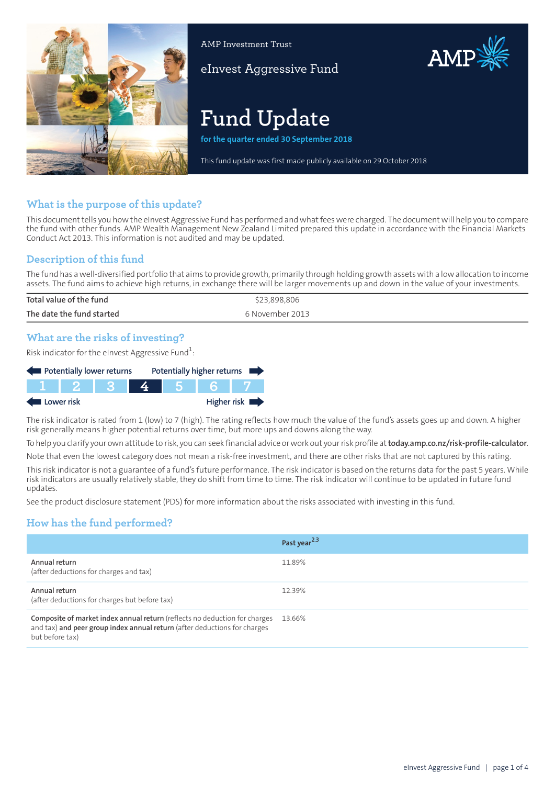

AMP Investment Trust

eInvest Aggressive Fund

# **Fund Update**

**for the quarter ended 30 September 2018**

This fund update was first made publicly available on 29 October 2018

AMP

# **What is the purpose of this update?**

This document tells you how the eInvest Aggressive Fund has performed and what fees were charged. The document will help you to compare the fund with other funds. AMP Wealth Management New Zealand Limited prepared this update in accordance with the Financial Markets Conduct Act 2013. This information is not audited and may be updated.

# **Description of this fund**

The fund has a well-diversified portfolio that aims to provide growth, primarily through holding growth assets with a low allocation to income assets. The fund aims to achieve high returns, in exchange there will be larger movements up and down in the value of your investments.

| Total value of the fund   | \$23,898,806    |
|---------------------------|-----------------|
| The date the fund started | 6 November 2013 |
|                           |                 |

## **What are the risks of investing?**

Risk indicator for the eInvest Aggressive Fund $^1\!\! :$ 

| Potentially lower returns |  | Potentially higher returns |  |  |                            |
|---------------------------|--|----------------------------|--|--|----------------------------|
|                           |  |                            |  |  |                            |
| Lower risk                |  |                            |  |  | Higher risk $\blacksquare$ |

The risk indicator is rated from 1 (low) to 7 (high). The rating reflects how much the value of the fund's assets goes up and down. A higher risk generally means higher potential returns over time, but more ups and downs along the way.

To help you clarify your own attitude to risk, you can seek financial advice orwork out yourrisk profile at**[today.amp.co.nz/risk-profile-calculator](http://today.amp.co.nz/risk-profile-calculator)**.

Note that even the lowest category does not mean a risk-free investment, and there are other risks that are not captured by this rating.

This risk indicator is not a guarantee of a fund's future performance. The risk indicator is based on the returns data for the past 5 years. While risk indicators are usually relatively stable, they do shift from time to time. The risk indicator will continue to be updated in future fund updates.

See the product disclosure statement (PDS) for more information about the risks associated with investing in this fund.

# **How has the fund performed?**

|                                                                                                                                                                            | Past year <sup>2,3</sup> |
|----------------------------------------------------------------------------------------------------------------------------------------------------------------------------|--------------------------|
| Annual return<br>(after deductions for charges and tax)                                                                                                                    | 11.89%                   |
| Annual return<br>(after deductions for charges but before tax)                                                                                                             | 12.39%                   |
| Composite of market index annual return (reflects no deduction for charges<br>and tax) and peer group index annual return (after deductions for charges<br>but before tax) | 13.66%                   |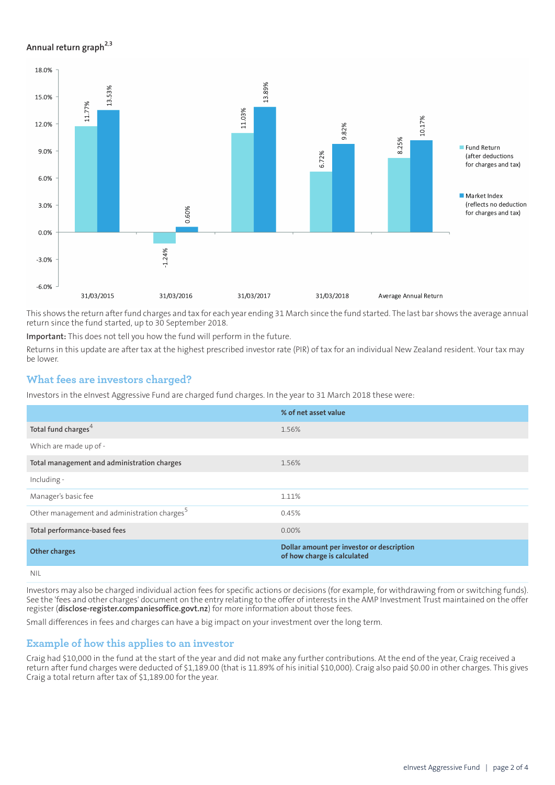#### **Annual return graph[2](#page-3-0),[3](#page-3-1)**



This shows the return afterfund charges and tax for each year ending 31 March since the fund started. The last bar shows the average annual return since the fund started, up to 30 September 2018.

**Important:** This does not tell you how the fund will perform in the future.

Returns in this update are after tax at the highest prescribed investor rate (PIR) of tax for an individual New Zealand resident. Your tax may be lower.

## **What fees are investors charged?**

Investors in the eInvest Aggressive Fund are charged fund charges. In the year to 31 March 2018 these were:

|                                                          | % of net asset value                                                     |
|----------------------------------------------------------|--------------------------------------------------------------------------|
| Total fund charges <sup>4</sup>                          | 1.56%                                                                    |
| Which are made up of -                                   |                                                                          |
| Total management and administration charges              | 1.56%                                                                    |
| Including -                                              |                                                                          |
| Manager's basic fee                                      | 1.11%                                                                    |
| Other management and administration charges <sup>5</sup> | 0.45%                                                                    |
| Total performance-based fees                             | $0.00\%$                                                                 |
| <b>Other charges</b>                                     | Dollar amount per investor or description<br>of how charge is calculated |
|                                                          |                                                                          |

NIL

Investors may also be charged individual action fees for specific actions or decisions (for example, for withdrawing from or switching funds). See the 'fees and other charges' document on the entry relating to the offer of interests in the AMP Investment Trust maintained on the offer register (**[disclose-register.companiesoffice.govt.nz](https://disclose-register.companiesoffice.govt.nz/)**) for more information about those fees.

Small differences in fees and charges can have a big impact on your investment over the long term.

## **Example of how this applies to an investor**

Craig had \$10,000 in the fund at the start of the year and did not make any further contributions. At the end of the year, Craig received a return after fund charges were deducted of \$1,189.00 (that is 11.89% of his initial \$10,000). Craig also paid \$0.00 in other charges. This gives Craig a total return after tax of \$1,189.00 for the year.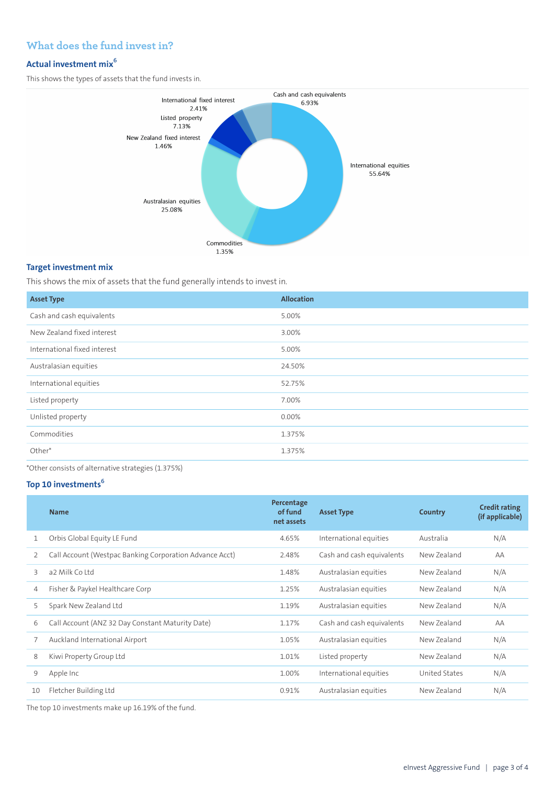# **What does the fund invest in?**

## **Actual investment mix<sup>6</sup>**

This shows the types of assets that the fund invests in.



#### **Target investment mix**

This shows the mix of assets that the fund generally intends to invest in.

| <b>Asset Type</b>            | <b>Allocation</b> |
|------------------------------|-------------------|
| Cash and cash equivalents    | 5.00%             |
| New Zealand fixed interest   | 3.00%             |
| International fixed interest | 5.00%             |
| Australasian equities        | 24.50%            |
| International equities       | 52.75%            |
| Listed property              | 7.00%             |
| Unlisted property            | 0.00%             |
| Commodities                  | 1.375%            |
| Other*                       | 1.375%            |

\*Other consists of alternative strategies (1.375%)

## **Top 10 investments<sup>6</sup>**

| <b>Name</b>                                             | Percentage<br>of fund<br>net assets | <b>Asset Type</b>         | Country       | <b>Credit rating</b><br>(if applicable) |
|---------------------------------------------------------|-------------------------------------|---------------------------|---------------|-----------------------------------------|
| Orbis Global Equity LE Fund                             | 4.65%                               | International equities    | Australia     | N/A                                     |
| Call Account (Westpac Banking Corporation Advance Acct) | 2.48%                               | Cash and cash equivalents | New Zealand   | AA                                      |
| a2 Milk Coltd                                           | 1.48%                               | Australasian equities     | New Zealand   | N/A                                     |
| Fisher & Paykel Healthcare Corp                         | 1.25%                               | Australasian equities     | New Zealand   | N/A                                     |
| Spark New Zealand Ltd                                   | 1.19%                               | Australasian equities     | New Zealand   | N/A                                     |
| Call Account (ANZ 32 Day Constant Maturity Date)        | 1.17%                               | Cash and cash equivalents | New Zealand   | AA                                      |
| Auckland International Airport                          | 1.05%                               | Australasian equities     | New Zealand   | N/A                                     |
| Kiwi Property Group Ltd                                 | 1.01%                               | Listed property           | New Zealand   | N/A                                     |
| Apple Inc                                               | 1.00%                               | International equities    | United States | N/A                                     |
| Fletcher Building Ltd                                   | 0.91%                               | Australasian equities     | New Zealand   | N/A                                     |
|                                                         |                                     |                           |               |                                         |

The top 10 investments make up 16.19% of the fund.